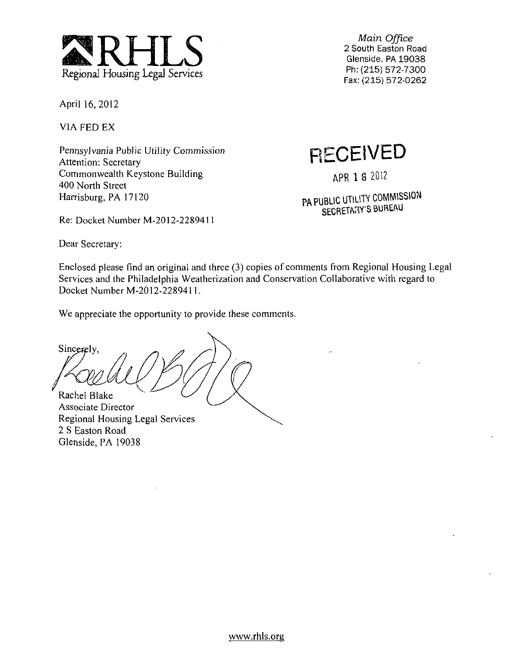

Main Office 2 South Easton Road Glenside, PA 19038 Ph:(215) 572-7300 Fax: (215) 572-0262

April 16, 2012

VIA FED EX

Pennsylvania Public Utility Commission Attention: Secretary Commonwealth Keystone Building 400 North Street Harrisburg, PA 17120

Re: Docket Number M-2012-2289411

**RECEIVED** 

APR 1 8 2012

PA PUBLIC UTILITY COMMISSION SECRETARY'S BUREAU

Dear Secretary:

Glenside, PA 19038

Enclosed please find an original and three (3) copies of comments from Regional Housing Legal Services and the Philadelphia Weatherization and Conservation Collaborative with regard to Docket Number M-2012-2289411.

We appreciate the opportunity to provide these comments.

Sincerely, Rachel Blake Associate Director Regional Housing Legal Services 2 S Easton Road

www.rhls.org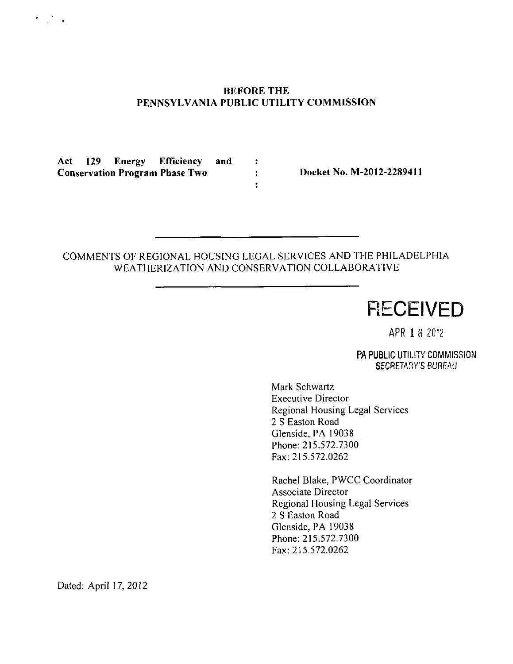# **BEFORE THE PENNSYLVANIA PUBLIC UTILITY COMMISSION**

 $\ddot{\cdot}$ 

 $\ddot{\cdot}$ 

**Act 129 Energy Efficiency and Conservation Program Phase Two : Docket No. M-2012-2289411** 

 $\mathcal{L}_{\text{max}}$ 

# COMMENTS OF REGIONAL HOUSING LEGAL SERVICES AND THE PHILADELPHIA WEATHERIZATION AND CONSERVATION COLLABORATIVE

**RECEIVED** 

APR 1 3 2012

PA PUBLIC UTILITY COMMISSION SECRETARY'S BUREAU

Mark Schwartz Executive Director Regional Housing Legal Services 2 S Easton Road Glenside, PA 19038 Phone: 215.572.7300 Fax: 215.572.0262

Rachel Blake, PWCC Coordinator Associate Director Regional Housing Legal Services 2 S Easton Road Glenside, PA 19038 Phone: 215.572.7300 Fax: 215.572.0262

Dated: April 17,2012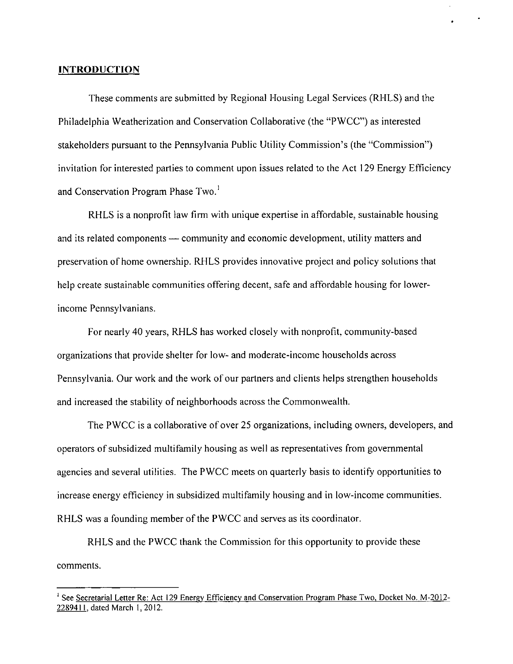### **INTRODUCTION**

These comments are submitted by Regional Housing Legal Services (RHLS) and the Philadelphia Weatherization and Conservation Collaborative (the "PWCC") as interested stakeholders pursuant to the Pennsylvania Public Utility Commission's (the "Commission") invitation for interested parties to comment upon issues related to the Act 129 Energy Efficiency and Conservation Program Phase Two.<sup>1</sup>

RHLS is a nonprofit law firm with unique expertise in affordable, sustainable housing and its related components — community and economic development, utility matters and preservation of home ownership. RHLS provides innovative project and policy solutions that help create sustainable communities offering decent, safe and affordable housing for lowerincome Pennsylvanians.

For nearly 40 years, RHLS has worked closely with nonprofit, community-based organizations that provide shelter for low- and moderate-income households across Pennsylvania. Our work and the work of our partners and clients helps strengthen households and increased the stability of neighborhoods across the Commonwealth.

The PWCC is a collaborative of over 25 organizations, including owners, developers, and operators of subsidized multifamily housing as well as representatives from governmental agencies and several utilities. The PWCC meets on quarterly basis to identify opportunities to increase energy efficiency in subsidized multifamily housing and in low-income communities. RHLS was a founding member of the PWCC and serves as its coordinator.

RHLS and the PWCC thank the Commission for this opportunity to provide these comments.

<sup>&</sup>lt;sup>1</sup> See Secretarial Letter Re: Act 129 Energy Efficiency and Conservation Program Phase Two, Docket No. M-2012-228941 I. dated March 1, 2012.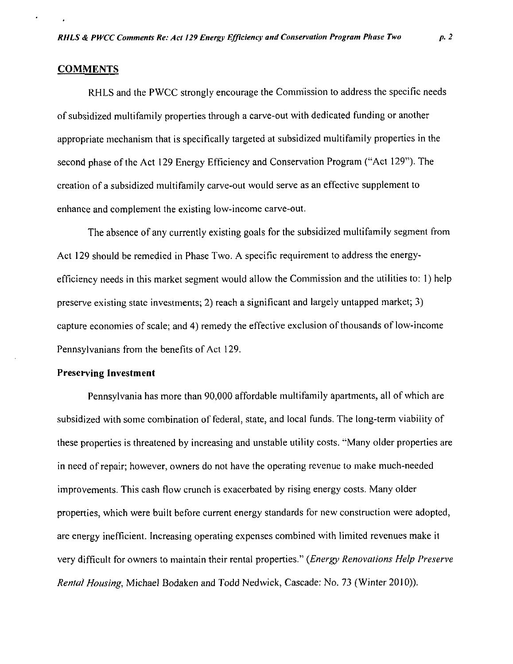#### **COMMENTS**

RHLS and the PWCC strongly encourage the Commission to address the specific needs of subsidized multifamily properties through a carve-out with dedicated funding or another appropriate mechanism that is specifically targeted at subsidized multifamily properties in the second phase of the Act 129 Energy Efficiency and Conservation Program ("Act 129"). The creation of a subsidized multifamily carve-out would serve as an effective supplement to enhance and complement the existing low-income carve-out.

**The absence of any currently existing goals for the subsidized multifamily segment from Act 129 should be remedied in Phase Two. A specific requirement to address the energyefficiency needs in this market segment would allow the Commission and the utilities to: 1) help preserve existing state investments; 2) reach a significant and largely untapped market; 3) capture economies of scale; and 4) remedy the effective exclusion of thousands of low-income Pennsylvanians from the benefits of Act 129.** 

#### **Preserving Investment**

Pennsylvania has more than 90,000 affordable multifamily apartments, all of which are subsidized with some combination of federal, state, and local funds. The long-term viability of these properties is threatened by increasing and unstable utility costs. "Many older properties are in need of repair; however, owners do not have the operating revenue to make much-needed improvements. This cash flow crunch is exacerbated by rising energy costs. Many older properties, which were built before current energy standards for new construction were adopted, are energy inefficient. Increasing operating expenses combined with limited revenues make it very difficult for owners to maintain their rental properties." {Energy Renovations Help Preserve Rental Housing, Michael Bodaken and Todd Ned wick, Cascade: No. 73 (Winter 2010)).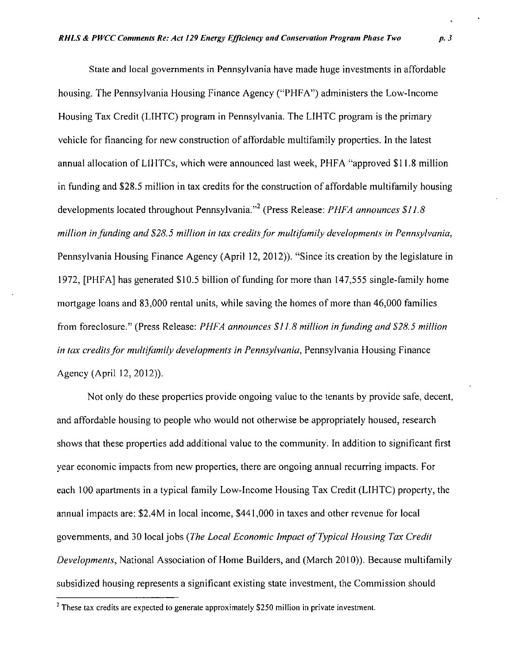State and local governments in Pennsylvania have made huge investments in affordable housing. The Pennsylvania Housing Finance Agency ("PHFA") administers the Low-Income Housing Tax Credit (LIHTC) program in Pennsylvania. The LIHTC program is the primary vehicle for financing for new construction of affordable multifamily properties. In the latest annual allocation of LIHTCs, which were announced last week, PHFA "approved \$11.8 million in funding and \$28.5 million in tax credits for the construction of affordable multifamily housing developments located throughout Pennsylvania."<sup>2</sup> (Press Release: *PHFA announces \$11.8* million in funding and \$28.5 million in tax credits for multifamily developments in Pennsylvania, Pennsylvania Housing Finance Agency (April 12, 2012)). "Since its creation by the legislature in 1972, [PHFA] has generated \$10.5 billion of funding for more than 147,555 single-family home mortgage loans and 83,000 rental units, while saving the homes of more than 46,000 families from foreclosure." (Press Release: PHFA announces SI 1.8 million in funding and S28,5 million in tax credits for multifamily developments in Pennsylvania, Pennsylvania Housing Finance Agency (April 12,2012)).

Not only do these properties provide ongoing value to the tenants by provide safe, decent, and affordable housing to people who would not otherwise be appropriately housed, research shows that these properties add additional value to the community. In addition to significant first year economic impacts from new properties, there are ongoing annual recurring impacts. For each 100 apartments in a typical family Low-Income Housing Tax Credit (LIHTC) property, the annual impacts are: \$2.4M in local income, \$441,000 in taxes and other revenue for local governments, and 30 local jobs (The Local Economic Impact of Typical Housing Tax Credit Developments, National Association of Home Builders, and (March 2010)). Because multifamily subsidized housing represents a significant existing state investment, the Commission should

<sup>&</sup>lt;sup>2</sup> These tax credits are expected to generate approximately \$250 million in private investment.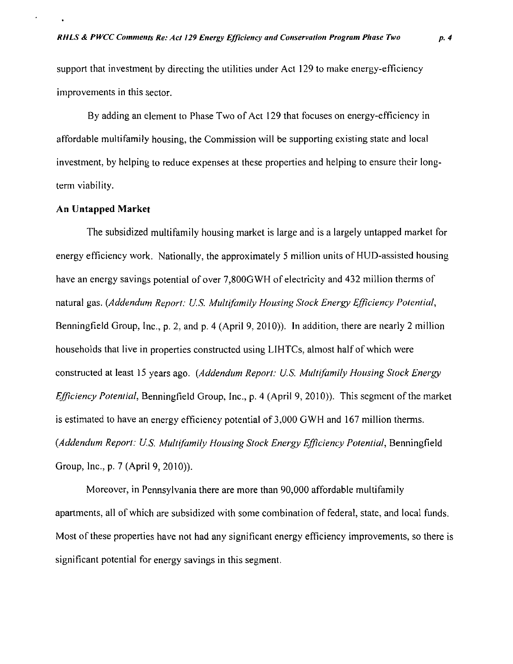support that investment by directing the utilities under Act 129 to make energy-efficiency improvements in this sector.

**By adding an element to Phase Two of Act 129 that focuses on energy-efficiency in affordable multifamily housing, the Commission will be supporting existing state and local investment, by helping to reduce expenses at these properties and helping to ensure their longterm viability.** 

#### **An Untapped Market**

The subsidized multifamily housing market is large and is a largely untapped market for energy efficiency work. Nationally, the approximately 5 million units of HUD-assisted housing have an energy savings potential of over 7,800GWH of electricity and 432 million therms of natural gas. {Addendum Report: U.S. Multifamily Housing Stock Energy Efficiency Potential, Benningfield Group, Inc., p. 2, and p. 4 (April 9, 2010)). In addition, there are nearly 2 million households that live in properties constructed using LIHTCs, almost half of which were constructed at least 15 years ago. (Addendum Report: U.S. Multifamily Housing Stock Energy Efficiency Potential, Benningfleld Group, Inc., p. 4 (April 9, 2010)). This segment of the market is estimated to have an energy efficiency potential of 3,000 GWH and 167 million therms. (Addendum Report: U.S. Multifamily Housing Stock Energy Efficiency Potential, Benningfield Group, Inc., p. 7 (April 9, 2010)).

Moreover, in Pennsylvania there are more than 90,000 affordable multifamily apartments, all of which are subsidized with some combination of federal, state, and local funds. Most of these properties have not had any significant energy efficiency improvements, so there is significant potential for energy savings in this segment.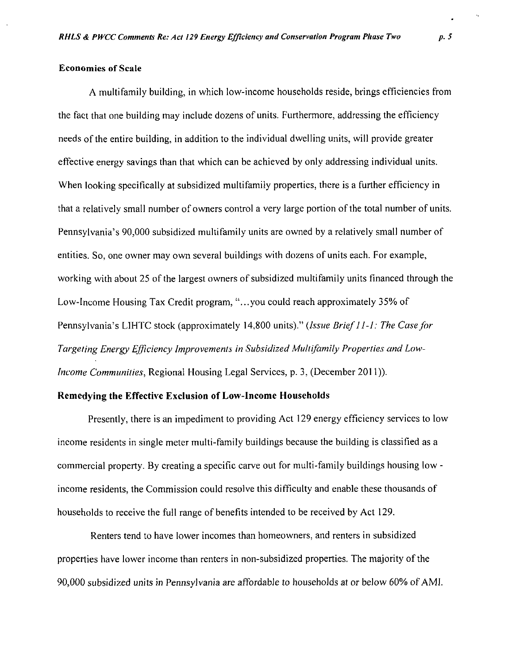#### **Economies of Scale**

**A multifamily building, in which low-income households reside, brings efficiencies from the fact that one building may include dozens of units. Furthermore, addressing the efficiency needs of the entire building, in addition to the individual dwelling units, will provide greater effective energy savings than that which can be achieved by only addressing individual units. When looking specifically at subsidized multifamily properties, there is a further efficiency in that a relatively small number of owners control a very large portion of the total number of units. Pennsylvania's 90,000 subsidized multifamily units are owned by a relatively small number of entities. So, one owner may own several buildings with dozens of units each. For example, working with about 25 of the largest owners of subsidized multifamily units financed through the Low-Income Housing Tax Credit program, "...you could reach approximately 35% of Pennsylvania's LIHTC stock (approximately 14,800 units)." (Issue Brief ll-l: The Case for Targeting Energy Efficiency Improvements in Subsidized Multifamily Properties and Low-Income Communities, Regional Housing Legal Services, p. 3, (December 2011)).** 

## **Remedying the Effective Exclusion of Low-Income Households**

Presently, there is an impediment to providing Act 129 energy efficiency services to low income residents in single meter multi-family buildings because the building is classified as a commercial property. By creating a specific carve out for multi-family buildings housing low income residents, the Commission could resolve this difficulty and enable these thousands of households to receive the full range of benefits intended to be received by Act 129.

Renters tend to have lower incomes than homeowners, and renters in subsidized properties have lower income than renters in non-subsidized properties. The majority of the 90,000 subsidized units in Pennsylvania are affordable to households at or below 60% of AMI.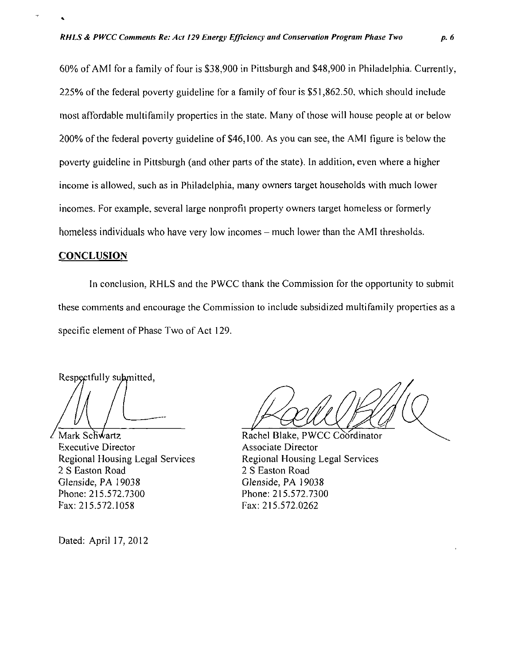**60% of AMI for a family of four is \$38,900 in Pittsburgh and \$48,900 in Philadelphia. Currently, 225% of the federal poverty guideline for a family of four is \$51,862.50, which should include most affordable multifamily properties in the state. Many of those will house people at or below 200% of the federal poverty guideline of \$46,100. As you can see, the AMI figure is below the poverty guideline in Pittsburgh (and other parts of the state). In addition, even where a higher income is allowed, such as in Philadelphia, many owners target households with much lower incomes. For example, several large nonprofit property owners target homeless or formerly**  homeless individuals who have very low incomes – much lower than the AMI thresholds.

## **CONCLUSION**

In conclusion, RHLS and the PWCC thank the Commission for the opportunity to submit these comments and encourage the Commission to include subsidized multifamily properties as a specific element of Phase Two of Act 129.

Respectfully submitted

Mark Schwartz Executive Director Regional Housing Legal Services 2 S Easton Road Glenside, PA 19038 Phone: 215.572.7300 Fax: 215.572.1058

Dated: April 17, 2012

Rachel Blake, PWCC Coordinator Associate Director Regional Housing Legal Services 2 S Easton Road Glenside, PA 19038 Phone: 215.572.7300 Fax: 215.572.0262